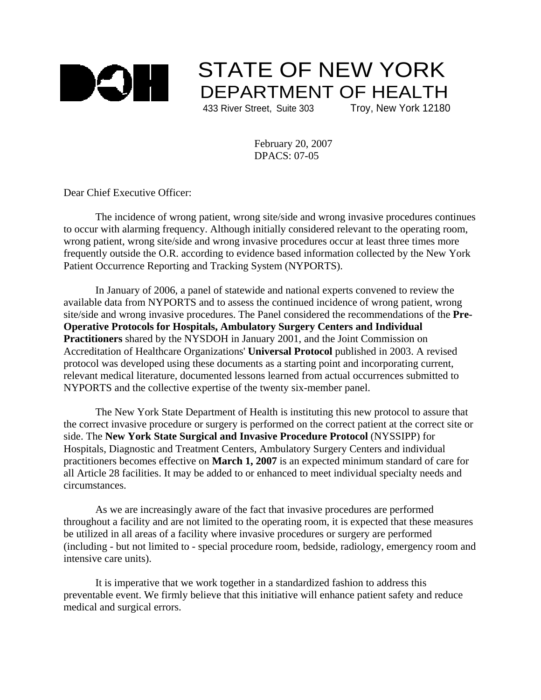

## STATE OF NEW YORK DEPARTMENT OF HEALTH

433 River Street, Suite 303 Troy, New York 12180

February 20, 2007 DPACS: 07-05

Dear Chief Executive Officer:

The incidence of wrong patient, wrong site/side and wrong invasive procedures continues to occur with alarming frequency. Although initially considered relevant to the operating room, wrong patient, wrong site/side and wrong invasive procedures occur at least three times more frequently outside the O.R. according to evidence based information collected by the New York Patient Occurrence Reporting and Tracking System (NYPORTS).

In January of 2006, a panel of statewide and national experts convened to review the available data from NYPORTS and to assess the continued incidence of wrong patient, wrong site/side and wrong invasive procedures. The Panel considered the recommendations of the **Pre-Operative Protocols for Hospitals, Ambulatory Surgery Centers and Individual Practitioners** shared by the NYSDOH in January 2001, and the Joint Commission on Accreditation of Healthcare Organizations' **Universal Protocol** published in 2003. A revised protocol was developed using these documents as a starting point and incorporating current, relevant medical literature, documented lessons learned from actual occurrences submitted to NYPORTS and the collective expertise of the twenty six-member panel.

The New York State Department of Health is instituting this new protocol to assure that the correct invasive procedure or surgery is performed on the correct patient at the correct site or side. The **New York State Surgical and Invasive Procedure Protocol** (NYSSIPP) for Hospitals, Diagnostic and Treatment Centers, Ambulatory Surgery Centers and individual practitioners becomes effective on **March 1, 2007** is an expected minimum standard of care for all Article 28 facilities. It may be added to or enhanced to meet individual specialty needs and circumstances.

As we are increasingly aware of the fact that invasive procedures are performed throughout a facility and are not limited to the operating room, it is expected that these measures be utilized in all areas of a facility where invasive procedures or surgery are performed (including - but not limited to - special procedure room, bedside, radiology, emergency room and intensive care units).

It is imperative that we work together in a standardized fashion to address this preventable event. We firmly believe that this initiative will enhance patient safety and reduce medical and surgical errors.